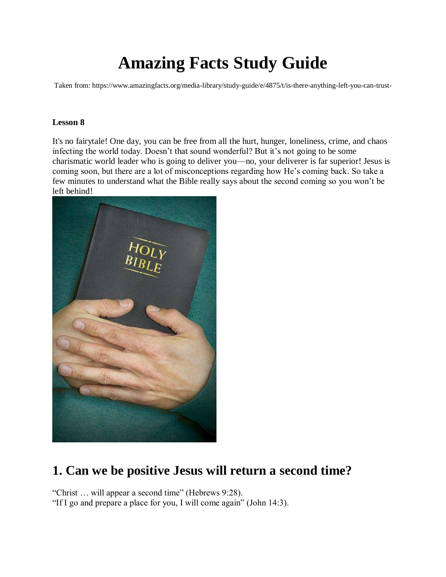# **Amazing Facts Study Guide**

Taken from: https://www.amazingfacts.org/media-library/study-guide/e/4875/t/is-there-anything-left-you-can-trust-

#### **Lesson 8**

It's no fairytale! One day, you can be free from all the hurt, hunger, loneliness, crime, and chaos infecting the world today. Doesn't that sound wonderful? But it's not going to be some charismatic world leader who is going to deliver you—no, your deliverer is far superior! Jesus is coming soon, but there are a lot of misconceptions regarding how He's coming back. So take a few minutes to understand what the Bible really says about the second coming so you won't be left behind!



## **1. Can we be positive Jesus will return a second time?**

"Christ … will appear a second time" (Hebrews 9:28).

"If I go and prepare a place for you, I will come again" (John 14:3).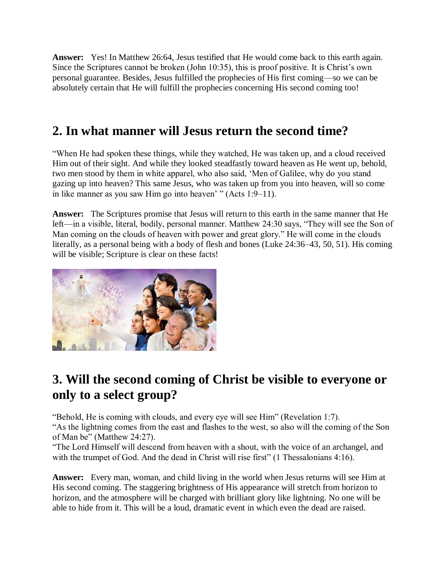**Answer:** Yes! In Matthew 26:64, Jesus testified that He would come back to this earth again. Since the Scriptures cannot be broken (John 10:35), this is proof positive. It is Christ's own personal guarantee. Besides, Jesus fulfilled the prophecies of His first coming—so we can be absolutely certain that He will fulfill the prophecies concerning His second coming too!

## **2. In what manner will Jesus return the second time?**

"When He had spoken these things, while they watched, He was taken up, and a cloud received Him out of their sight. And while they looked steadfastly toward heaven as He went up, behold, two men stood by them in white apparel, who also said, 'Men of Galilee, why do you stand gazing up into heaven? This same Jesus, who was taken up from you into heaven, will so come in like manner as you saw Him go into heaven' " (Acts 1:9–11).

**Answer:** The Scriptures promise that Jesus will return to this earth in the same manner that He left—in a visible, literal, bodily, personal manner. Matthew 24:30 says, "They will see the Son of Man coming on the clouds of heaven with power and great glory." He will come in the clouds literally, as a personal being with a body of flesh and bones (Luke 24:36–43, 50, 51). His coming will be visible; Scripture is clear on these facts!



## **3. Will the second coming of Christ be visible to everyone or only to a select group?**

"Behold, He is coming with clouds, and every eye will see Him" (Revelation 1:7).

"As the lightning comes from the east and flashes to the west, so also will the coming of the Son of Man be" (Matthew 24:27).

"The Lord Himself will descend from heaven with a shout, with the voice of an archangel, and with the trumpet of God. And the dead in Christ will rise first" (1 Thessalonians 4:16).

**Answer:** Every man, woman, and child living in the world when Jesus returns will see Him at His second coming. The staggering brightness of His appearance will stretch from horizon to horizon, and the atmosphere will be charged with brilliant glory like lightning. No one will be able to hide from it. This will be a loud, dramatic event in which even the dead are raised.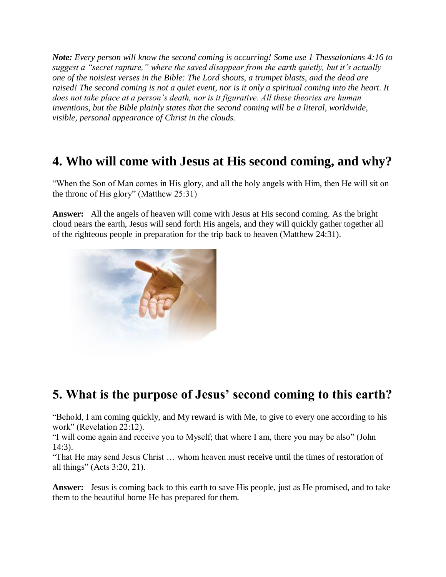*Note: Every person will know the second coming is occurring! Some use 1 Thessalonians 4:16 to suggest a "secret rapture," where the saved disappear from the earth quietly, but it's actually one of the noisiest verses in the Bible: The Lord shouts, a trumpet blasts, and the dead are raised! The second coming is not a quiet event, nor is it only a spiritual coming into the heart. It does not take place at a person's death, nor is it figurative. All these theories are human inventions, but the Bible plainly states that the second coming will be a literal, worldwide, visible, personal appearance of Christ in the clouds.*

## **4. Who will come with Jesus at His second coming, and why?**

"When the Son of Man comes in His glory, and all the holy angels with Him, then He will sit on the throne of His glory" (Matthew 25:31)

**Answer:** All the angels of heaven will come with Jesus at His second coming. As the bright cloud nears the earth, Jesus will send forth His angels, and they will quickly gather together all of the righteous people in preparation for the trip back to heaven (Matthew 24:31).



## **5. What is the purpose of Jesus' second coming to this earth?**

"Behold, I am coming quickly, and My reward is with Me, to give to every one according to his work" (Revelation 22:12).

"I will come again and receive you to Myself; that where I am, there you may be also" (John 14:3).

"That He may send Jesus Christ … whom heaven must receive until the times of restoration of all things" (Acts 3:20, 21).

**Answer:** Jesus is coming back to this earth to save His people, just as He promised, and to take them to the beautiful home He has prepared for them.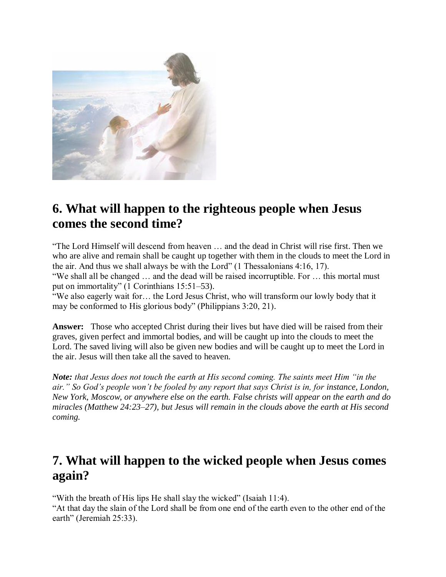

## **6. What will happen to the righteous people when Jesus comes the second time?**

"The Lord Himself will descend from heaven … and the dead in Christ will rise first. Then we who are alive and remain shall be caught up together with them in the clouds to meet the Lord in the air. And thus we shall always be with the Lord" (1 Thessalonians 4:16, 17). "We shall all be changed … and the dead will be raised incorruptible. For … this mortal must put on immortality" (1 Corinthians 15:51–53). "We also eagerly wait for… the Lord Jesus Christ, who will transform our lowly body that it

may be conformed to His glorious body" (Philippians 3:20, 21).

**Answer:** Those who accepted Christ during their lives but have died will be raised from their graves, given perfect and immortal bodies, and will be caught up into the clouds to meet the Lord. The saved living will also be given new bodies and will be caught up to meet the Lord in the air. Jesus will then take all the saved to heaven.

*Note: that Jesus does not touch the earth at His second coming. The saints meet Him "in the air."* So God's people won't be fooled by any report that says Christ is in, for instance, London, *New York, Moscow, or anywhere else on the earth. False christs will appear on the earth and do miracles (Matthew 24:23–27), but Jesus will remain in the clouds above the earth at His second coming.*

## **7. What will happen to the wicked people when Jesus comes again?**

"With the breath of His lips He shall slay the wicked" (Isaiah 11:4).

"At that day the slain of the Lord shall be from one end of the earth even to the other end of the earth" (Jeremiah 25:33).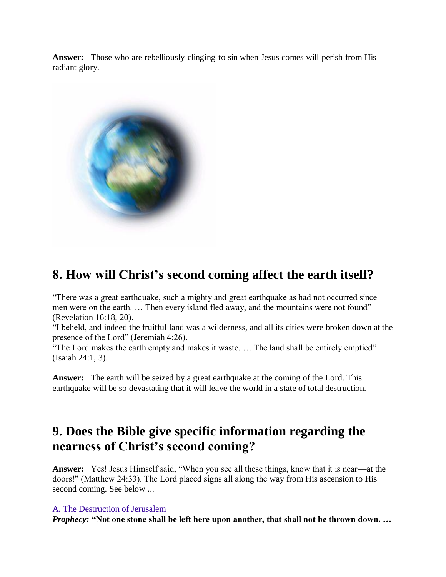**Answer:** Those who are rebelliously clinging to sin when Jesus comes will perish from His radiant glory.



## **8. How will Christ's second coming affect the earth itself?**

"There was a great earthquake, such a mighty and great earthquake as had not occurred since men were on the earth. ... Then every island fled away, and the mountains were not found" (Revelation 16:18, 20).

"I beheld, and indeed the fruitful land was a wilderness, and all its cities were broken down at the presence of the Lord" (Jeremiah 4:26).

"The Lord makes the earth empty and makes it waste. … The land shall be entirely emptied" (Isaiah 24:1, 3).

**Answer:** The earth will be seized by a great earthquake at the coming of the Lord. This earthquake will be so devastating that it will leave the world in a state of total destruction.

## **9. Does the Bible give specific information regarding the nearness of Christ's second coming?**

**Answer:** Yes! Jesus Himself said, "When you see all these things, know that it is near—at the doors!" (Matthew 24:33). The Lord placed signs all along the way from His ascension to His second coming. See below ...

#### A. The Destruction of Jerusalem

*Prophecy:* **"Not one stone shall be left here upon another, that shall not be thrown down. …**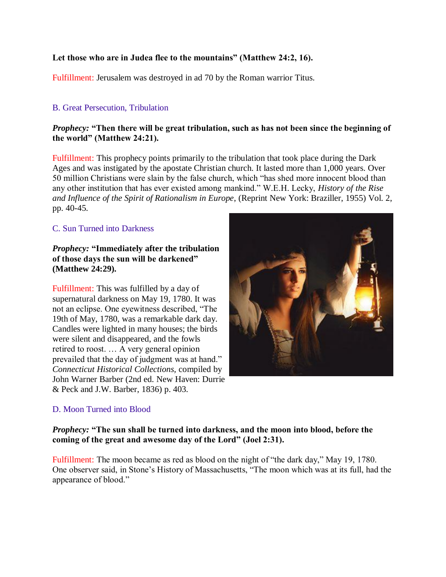#### **Let those who are in Judea flee to the mountains" (Matthew 24:2, 16).**

Fulfillment: Jerusalem was destroyed in ad 70 by the Roman warrior Titus.

#### B. Great Persecution, Tribulation

#### *Prophecy:* **"Then there will be great tribulation, such as has not been since the beginning of the world" (Matthew 24:21).**

Fulfillment: This prophecy points primarily to the tribulation that took place during the Dark Ages and was instigated by the apostate Christian church. It lasted more than 1,000 years. Over 50 million Christians were slain by the false church, which "has shed more innocent blood than any other institution that has ever existed among mankind." W.E.H. Lecky, *History of the Rise and Influence of the Spirit of Rationalism in Europe*, (Reprint New York: Braziller, 1955) Vol. 2, pp. 40-45.

#### C. Sun Turned into Darkness

#### *Prophecy:* **"Immediately after the tribulation of those days the sun will be darkened" (Matthew 24:29).**

Fulfillment: This was fulfilled by a day of supernatural darkness on May 19, 1780. It was not an eclipse. One eyewitness described, "The 19th of May, 1780, was a remarkable dark day. Candles were lighted in many houses; the birds were silent and disappeared, and the fowls retired to roost. … A very general opinion prevailed that the day of judgment was at hand." *Connecticut Historical Collections,* compiled by John Warner Barber (2nd ed. New Haven: Durrie & Peck and J.W. Barber, 1836) p. 403.

#### D. Moon Turned into Blood

#### *Prophecy:* **"The sun shall be turned into darkness, and the moon into blood, before the coming of the great and awesome day of the Lord" (Joel 2:31).**

Fulfillment: The moon became as red as blood on the night of "the dark day," May 19, 1780. One observer said, in Stone's History of Massachusetts, "The moon which was at its full, had the appearance of blood."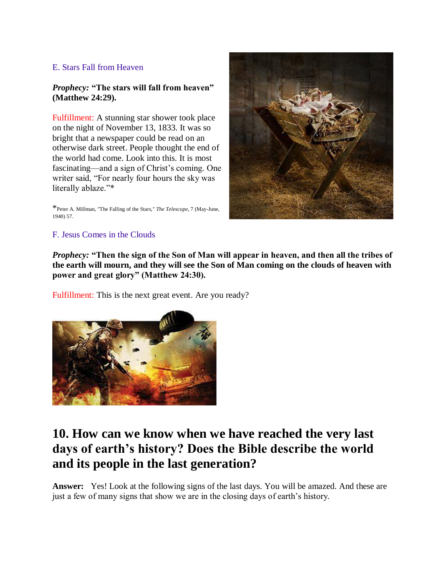#### E. Stars Fall from Heaven

#### *Prophecy:* **"The stars will fall from heaven" (Matthew 24:29).**

Fulfillment: A stunning star shower took place on the night of November 13, 1833. It was so bright that a newspaper could be read on an otherwise dark street. People thought the end of the world had come. Look into this. It is most fascinating—and a sign of Christ's coming. One writer said, "For nearly four hours the sky was literally ablaze."\*

\*Peter A. Millman, "The Falling of the Stars," *The Telescope,* 7 (May-June, 1940) 57.



#### F. Jesus Comes in the Clouds

*Prophecy:* **"Then the sign of the Son of Man will appear in heaven, and then all the tribes of the earth will mourn, and they will see the Son of Man coming on the clouds of heaven with power and great glory" (Matthew 24:30).**

Fulfillment: This is the next great event. Are you ready?



## **10. How can we know when we have reached the very last days of earth's history? Does the Bible describe the world and its people in the last generation?**

**Answer:** Yes! Look at the following signs of the last days. You will be amazed. And these are just a few of many signs that show we are in the closing days of earth's history.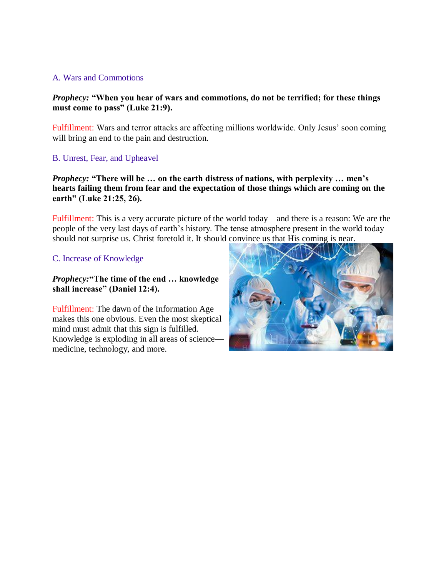#### A. Wars and Commotions

#### *Prophecy:* **"When you hear of wars and commotions, do not be terrified; for these things must come to pass" (Luke 21:9).**

Fulfillment: Wars and terror attacks are affecting millions worldwide. Only Jesus' soon coming will bring an end to the pain and destruction.

B. Unrest, Fear, and Upheavel

*Prophecy:* **"There will be … on the earth distress of nations, with perplexity … men's hearts failing them from fear and the expectation of those things which are coming on the earth" (Luke 21:25, 26).**

Fulfillment: This is a very accurate picture of the world today—and there is a reason: We are the people of the very last days of earth's history. The tense atmosphere present in the world today should not surprise us. Christ foretold it. It should convince us that His coming is near.

#### C. Increase of Knowledge

*Prophecy:***"The time of the end … knowledge shall increase" (Daniel 12:4).**

Fulfillment: The dawn of the Information Age makes this one obvious. Even the most skeptical mind must admit that this sign is fulfilled. Knowledge is exploding in all areas of science medicine, technology, and more.

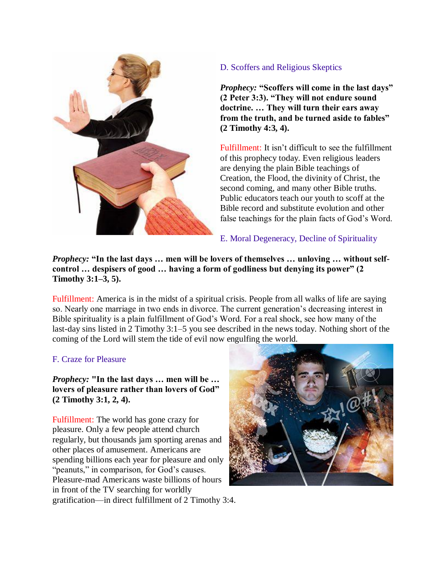

#### D. Scoffers and Religious Skeptics

*Prophecy:* **"Scoffers will come in the last days" (2 Peter 3:3). "They will not endure sound doctrine. … They will turn their ears away from the truth, and be turned aside to fables" (2 Timothy 4:3, 4).**

Fulfillment: It isn't difficult to see the fulfillment of this prophecy today. Even religious leaders are denying the plain Bible teachings of Creation, the Flood, the divinity of Christ, the second coming, and many other Bible truths. Public educators teach our youth to scoff at the Bible record and substitute evolution and other false teachings for the plain facts of God's Word.

#### E. Moral Degeneracy, Decline of Spirituality

*Prophecy:* **"In the last days … men will be lovers of themselves … unloving … without selfcontrol … despisers of good … having a form of godliness but denying its power" (2 Timothy 3:1–3, 5).**

Fulfillment: America is in the midst of a spiritual crisis. People from all walks of life are saying so. Nearly one marriage in two ends in divorce. The current generation's decreasing interest in Bible spirituality is a plain fulfillment of God's Word. For a real shock, see how many of the last-day sins listed in 2 Timothy 3:1–5 you see described in the news today. Nothing short of the coming of the Lord will stem the tide of evil now engulfing the world.

#### F. Craze for Pleasure

*Prophecy:* **"In the last days … men will be … lovers of pleasure rather than lovers of God" (2 Timothy 3:1, 2, 4).**

Fulfillment: The world has gone crazy for pleasure. Only a few people attend church regularly, but thousands jam sporting arenas and other places of amusement. Americans are spending billions each year for pleasure and only "peanuts," in comparison, for God's causes. Pleasure-mad Americans waste billions of hours in front of the TV searching for worldly gratification—in direct fulfillment of 2 Timothy 3:4.

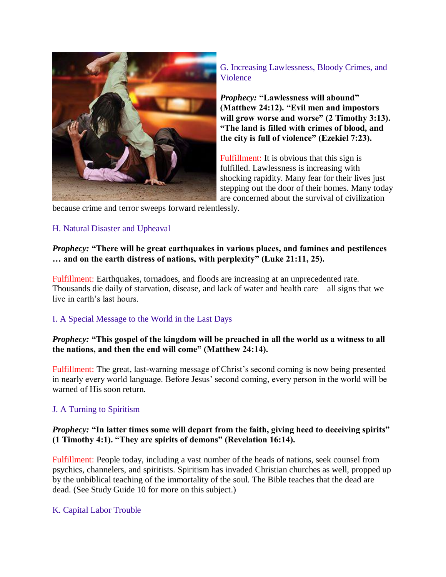

G. Increasing Lawlessness, Bloody Crimes, and Violence

*Prophecy:* **"Lawlessness will abound" (Matthew 24:12). "Evil men and impostors will grow worse and worse" (2 Timothy 3:13). "The land is filled with crimes of blood, and the city is full of violence" (Ezekiel 7:23).**

Fulfillment: It is obvious that this sign is fulfilled. Lawlessness is increasing with shocking rapidity. Many fear for their lives just stepping out the door of their homes. Many today are concerned about the survival of civilization

because crime and terror sweeps forward relentlessly.

#### H. Natural Disaster and Upheaval

#### *Prophecy:* **"There will be great earthquakes in various places, and famines and pestilences … and on the earth distress of nations, with perplexity" (Luke 21:11, 25).**

Fulfillment: Earthquakes, tornadoes, and floods are increasing at an unprecedented rate. Thousands die daily of starvation, disease, and lack of water and health care—all signs that we live in earth's last hours.

#### I. A Special Message to the World in the Last Days

#### *Prophecy:* **"This gospel of the kingdom will be preached in all the world as a witness to all the nations, and then the end will come" (Matthew 24:14).**

Fulfillment: The great, last-warning message of Christ's second coming is now being presented in nearly every world language. Before Jesus' second coming, every person in the world will be warned of His soon return.

#### J. A Turning to Spiritism

#### *Prophecy:* **"In latter times some will depart from the faith, giving heed to deceiving spirits" (1 Timothy 4:1). "They are spirits of demons" (Revelation 16:14).**

Fulfillment: People today, including a vast number of the heads of nations, seek counsel from psychics, channelers, and spiritists. Spiritism has invaded Christian churches as well, propped up by the unbiblical teaching of the immortality of the soul. The Bible teaches that the dead are dead. (See Study Guide 10 for more on this subject.)

#### K. Capital Labor Trouble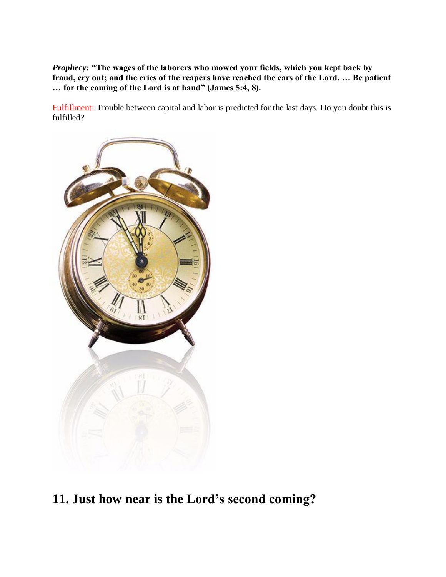*Prophecy:* **"The wages of the laborers who mowed your fields, which you kept back by fraud, cry out; and the cries of the reapers have reached the ears of the Lord. … Be patient … for the coming of the Lord is at hand" (James 5:4, 8).**

Fulfillment: Trouble between capital and labor is predicted for the last days. Do you doubt this is fulfilled?



**11. Just how near is the Lord's second coming?**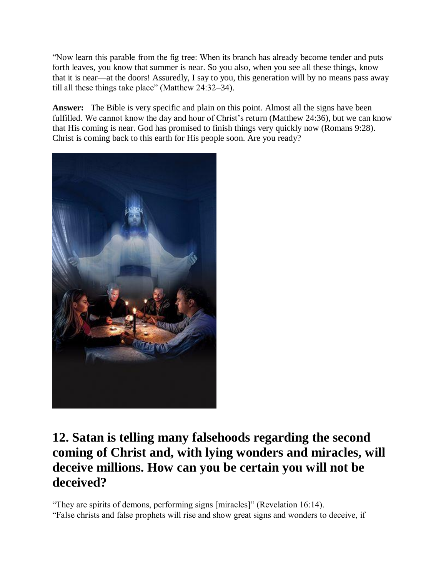"Now learn this parable from the fig tree: When its branch has already become tender and puts forth leaves, you know that summer is near. So you also, when you see all these things, know that it is near—at the doors! Assuredly, I say to you, this generation will by no means pass away till all these things take place" (Matthew 24:32–34).

**Answer:** The Bible is very specific and plain on this point. Almost all the signs have been fulfilled. We cannot know the day and hour of Christ's return (Matthew 24:36), but we can know that His coming is near. God has promised to finish things very quickly now (Romans 9:28). Christ is coming back to this earth for His people soon. Are you ready?



## **12. Satan is telling many falsehoods regarding the second coming of Christ and, with lying wonders and miracles, will deceive millions. How can you be certain you will not be deceived?**

"They are spirits of demons, performing signs [miracles]" (Revelation 16:14).

"False christs and false prophets will rise and show great signs and wonders to deceive, if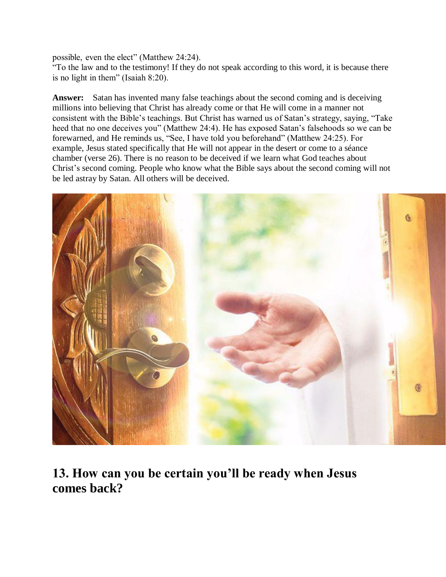possible, even the elect" (Matthew 24:24).

"To the law and to the testimony! If they do not speak according to this word, it is because there is no light in them" (Isaiah 8:20).

**Answer:** Satan has invented many false teachings about the second coming and is deceiving millions into believing that Christ has already come or that He will come in a manner not consistent with the Bible's teachings. But Christ has warned us of Satan's strategy, saying, "Take heed that no one deceives you" (Matthew 24:4). He has exposed Satan's falsehoods so we can be forewarned, and He reminds us, "See, I have told you beforehand" (Matthew 24:25). For example, Jesus stated specifically that He will not appear in the desert or come to a séance chamber (verse 26). There is no reason to be deceived if we learn what God teaches about Christ's second coming. People who know what the Bible says about the second coming will not be led astray by Satan. All others will be deceived.



**13. How can you be certain you'll be ready when Jesus comes back?**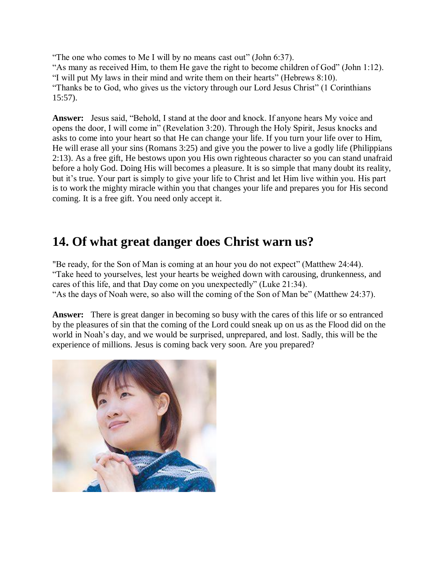"The one who comes to Me I will by no means cast out" (John 6:37). "As many as received Him, to them He gave the right to become children of God" (John 1:12). "I will put My laws in their mind and write them on their hearts" (Hebrews 8:10). "Thanks be to God, who gives us the victory through our Lord Jesus Christ" (1 Corinthians 15:57).

**Answer:** Jesus said, "Behold, I stand at the door and knock. If anyone hears My voice and opens the door, I will come in" (Revelation 3:20). Through the Holy Spirit, Jesus knocks and asks to come into your heart so that He can change your life. If you turn your life over to Him, He will erase all your sins (Romans 3:25) and give you the power to live a godly life (Philippians 2:13). As a free gift, He bestows upon you His own righteous character so you can stand unafraid before a holy God. Doing His will becomes a pleasure. It is so simple that many doubt its reality, but it's true. Your part is simply to give your life to Christ and let Him live within you. His part is to work the mighty miracle within you that changes your life and prepares you for His second coming. It is a free gift. You need only accept it.

## **14. Of what great danger does Christ warn us?**

"Be ready, for the Son of Man is coming at an hour you do not expect" (Matthew 24:44). "Take heed to yourselves, lest your hearts be weighed down with carousing, drunkenness, and cares of this life, and that Day come on you unexpectedly" (Luke 21:34). "As the days of Noah were, so also will the coming of the Son of Man be" (Matthew 24:37).

**Answer:** There is great danger in becoming so busy with the cares of this life or so entranced by the pleasures of sin that the coming of the Lord could sneak up on us as the Flood did on the world in Noah's day, and we would be surprised, unprepared, and lost. Sadly, this will be the experience of millions. Jesus is coming back very soon. Are you prepared?

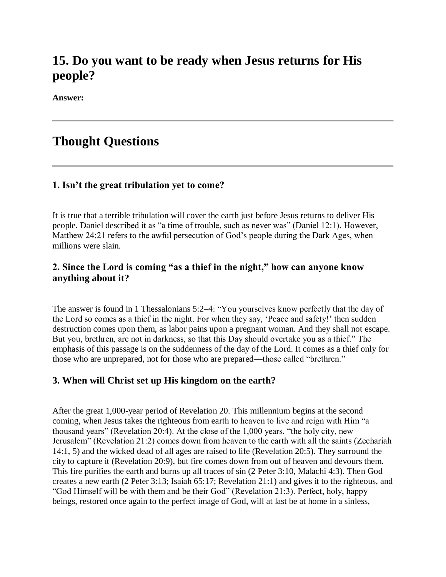## **15. Do you want to be ready when Jesus returns for His people?**

**Answer:**

## **Thought Questions**

#### **1. Isn't the great tribulation yet to come?**

It is true that a terrible tribulation will cover the earth just before Jesus returns to deliver His people. Daniel described it as "a time of trouble, such as never was" (Daniel 12:1). However, Matthew 24:21 refers to the awful persecution of God's people during the Dark Ages, when millions were slain.

#### **2. Since the Lord is coming "as a thief in the night," how can anyone know anything about it?**

The answer is found in 1 Thessalonians 5:2–4: "You yourselves know perfectly that the day of the Lord so comes as a thief in the night. For when they say, 'Peace and safety!' then sudden destruction comes upon them, as labor pains upon a pregnant woman. And they shall not escape. But you, brethren, are not in darkness, so that this Day should overtake you as a thief." The emphasis of this passage is on the suddenness of the day of the Lord. It comes as a thief only for those who are unprepared, not for those who are prepared—those called "brethren."

#### **3. When will Christ set up His kingdom on the earth?**

After the great 1,000-year period of Revelation 20. This millennium begins at the second coming, when Jesus takes the righteous from earth to heaven to live and reign with Him "a thousand years" (Revelation 20:4). At the close of the 1,000 years, "the holy city, new Jerusalem" (Revelation 21:2) comes down from heaven to the earth with all the saints (Zechariah 14:1, 5) and the wicked dead of all ages are raised to life (Revelation 20:5). They surround the city to capture it (Revelation 20:9), but fire comes down from out of heaven and devours them. This fire purifies the earth and burns up all traces of sin (2 Peter 3:10, Malachi 4:3). Then God creates a new earth (2 Peter 3:13; Isaiah 65:17; Revelation 21:1) and gives it to the righteous, and "God Himself will be with them and be their God" (Revelation 21:3). Perfect, holy, happy beings, restored once again to the perfect image of God, will at last be at home in a sinless,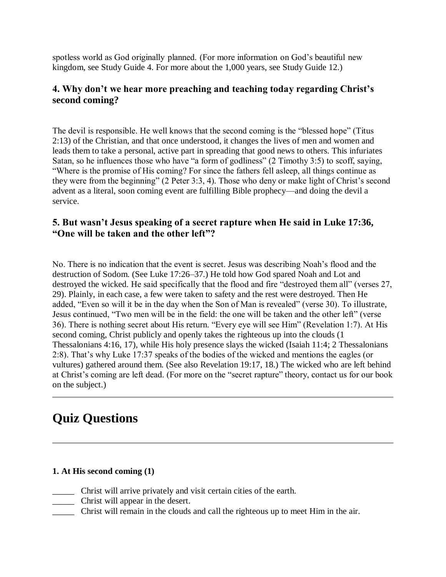spotless world as God originally planned. (For more information on God's beautiful new kingdom, see Study Guide 4. For more about the 1,000 years, see Study Guide 12.)

### **4. Why don't we hear more preaching and teaching today regarding Christ's second coming?**

The devil is responsible. He well knows that the second coming is the "blessed hope" (Titus 2:13) of the Christian, and that once understood, it changes the lives of men and women and leads them to take a personal, active part in spreading that good news to others. This infuriates Satan, so he influences those who have "a form of godliness" (2 Timothy 3:5) to scoff, saying, "Where is the promise of His coming? For since the fathers fell asleep, all things continue as they were from the beginning" (2 Peter 3:3, 4). Those who deny or make light of Christ's second advent as a literal, soon coming event are fulfilling Bible prophecy—and doing the devil a service.

#### **5. But wasn't Jesus speaking of a secret rapture when He said in Luke 17:36, "One will be taken and the other left"?**

No. There is no indication that the event is secret. Jesus was describing Noah's flood and the destruction of Sodom. (See Luke 17:26–37.) He told how God spared Noah and Lot and destroyed the wicked. He said specifically that the flood and fire "destroyed them all" (verses 27, 29). Plainly, in each case, a few were taken to safety and the rest were destroyed. Then He added, "Even so will it be in the day when the Son of Man is revealed" (verse 30). To illustrate, Jesus continued, "Two men will be in the field: the one will be taken and the other left" (verse 36). There is nothing secret about His return. "Every eye will see Him" (Revelation 1:7). At His second coming, Christ publicly and openly takes the righteous up into the clouds (1 Thessalonians 4:16, 17), while His holy presence slays the wicked (Isaiah 11:4; 2 Thessalonians 2:8). That's why Luke 17:37 speaks of the bodies of the wicked and mentions the eagles (or vultures) gathered around them. (See also Revelation 19:17, 18.) The wicked who are left behind at Christ's coming are left dead. (For more on the "secret rapture" theory, contact us for our book on the subject.)

## **Quiz Questions**

#### **1. At His second coming (1)**

- \_\_\_\_\_ Christ will arrive privately and visit certain cities of the earth.
- \_\_\_\_\_ Christ will appear in the desert.
- \_\_\_\_\_ Christ will remain in the clouds and call the righteous up to meet Him in the air.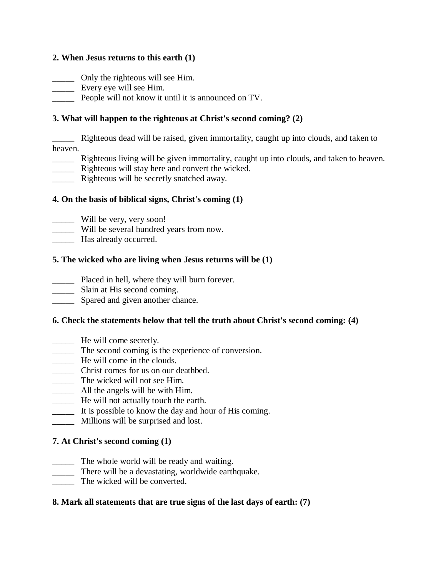#### **2. When Jesus returns to this earth (1)**

\_\_\_\_\_ Only the righteous will see Him.

- \_\_\_\_\_ Every eye will see Him.
- \_\_\_\_\_ People will not know it until it is announced on TV.

#### **3. What will happen to the righteous at Christ's second coming? (2)**

\_\_\_\_\_ Righteous dead will be raised, given immortality, caught up into clouds, and taken to heaven.

- \_\_\_\_\_ Righteous living will be given immortality, caught up into clouds, and taken to heaven.
- \_\_\_\_\_ Righteous will stay here and convert the wicked.
- \_\_\_\_\_ Righteous will be secretly snatched away.

#### **4. On the basis of biblical signs, Christ's coming (1)**

- \_\_\_\_\_ Will be very, very soon!
- \_\_\_\_\_ Will be several hundred years from now.
- \_\_\_\_\_ Has already occurred.

#### **5. The wicked who are living when Jesus returns will be (1)**

- \_\_\_\_\_ Placed in hell, where they will burn forever.
- \_\_\_\_\_\_\_ Slain at His second coming.
- **EXECUTE:** Spared and given another chance.

#### **6. Check the statements below that tell the truth about Christ's second coming: (4)**

- \_\_\_\_\_ He will come secretly.
- \_\_\_\_\_ The second coming is the experience of conversion.
- He will come in the clouds.
- \_\_\_\_\_ Christ comes for us on our deathbed.
- \_\_\_\_\_ The wicked will not see Him.
- \_\_\_\_\_ All the angels will be with Him.
- \_\_\_\_\_ He will not actually touch the earth.
- \_\_\_\_\_ It is possible to know the day and hour of His coming.
- \_\_\_\_\_ Millions will be surprised and lost.

#### **7. At Christ's second coming (1)**

- \_\_\_\_\_ The whole world will be ready and waiting.
- \_\_\_\_\_ There will be a devastating, worldwide earthquake.
- The wicked will be converted.

#### **8. Mark all statements that are true signs of the last days of earth: (7)**